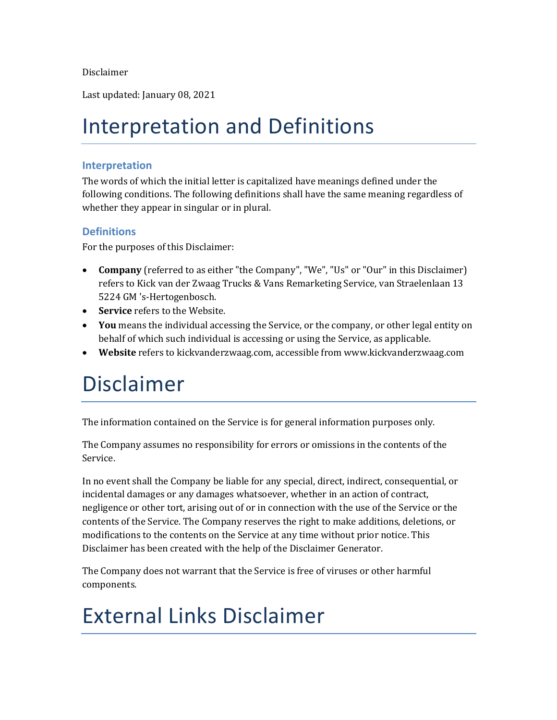Disclaimer

Last updated: January 08, 2021

#### Interpretation and Definitions

#### **Interpretation**

The words of which the initial letter is capitalized have meanings defined under the following conditions. The following definitions shall have the same meaning regardless of whether they appear in singular or in plural.

#### **Definitions**

For the purposes of this Disclaimer:

- **Company** (referred to as either "the Company", "We", "Us" or "Our" in this Disclaimer) refers to Kick van der Zwaag Trucks & Vans Remarketing Service, van Straelenlaan 13 5224 GM 's-Hertogenbosch.
- **Service** refers to the Website.
- You means the individual accessing the Service, or the company, or other legal entity on behalf of which such individual is accessing or using the Service, as applicable.
- **Website** refers to kickvanderzwaag.com, accessible from www.kickvanderzwaag.com

#### Disclaimer

The information contained on the Service is for general information purposes only.

The Company assumes no responsibility for errors or omissions in the contents of the Service.

In no event shall the Company be liable for any special, direct, indirect, consequential, or incidental damages or any damages whatsoever, whether in an action of contract, negligence or other tort, arising out of or in connection with the use of the Service or the contents of the Service. The Company reserves the right to make additions, deletions, or modifications to the contents on the Service at any time without prior notice. This Disclaimer has been created with the help of the Disclaimer Generator.

The Company does not warrant that the Service is free of viruses or other harmful components.

# External Links Disclaimer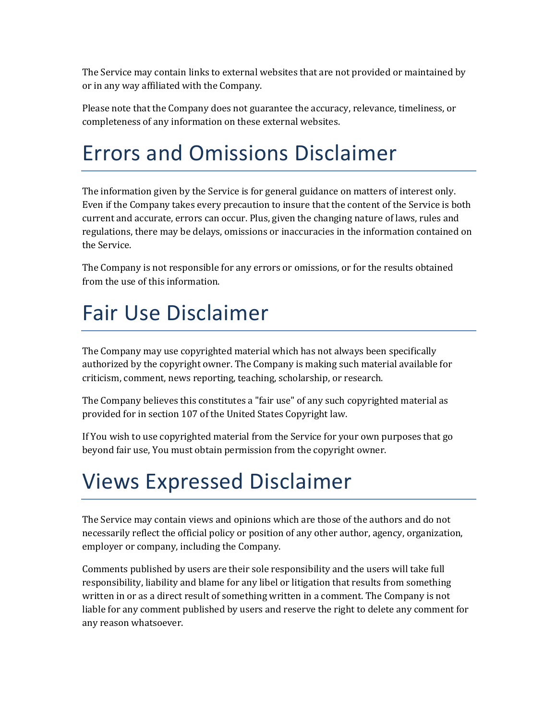The Service may contain links to external websites that are not provided or maintained by or in any way affiliated with the Company.

Please note that the Company does not guarantee the accuracy, relevance, timeliness, or completeness of any information on these external websites.

### Errors and Omissions Disclaimer

The information given by the Service is for general guidance on matters of interest only. Even if the Company takes every precaution to insure that the content of the Service is both current and accurate, errors can occur. Plus, given the changing nature of laws, rules and regulations, there may be delays, omissions or inaccuracies in the information contained on the Service.

The Company is not responsible for any errors or omissions, or for the results obtained from the use of this information.

# Fair Use Disclaimer

The Company may use copyrighted material which has not always been specifically authorized by the copyright owner. The Company is making such material available for criticism, comment, news reporting, teaching, scholarship, or research.

The Company believes this constitutes a "fair use" of any such copyrighted material as provided for in section 107 of the United States Copyright law.

If You wish to use copyrighted material from the Service for your own purposes that go beyond fair use, You must obtain permission from the copyright owner.

# Views Expressed Disclaimer

The Service may contain views and opinions which are those of the authors and do not necessarily reflect the official policy or position of any other author, agency, organization, employer or company, including the Company.

Comments published by users are their sole responsibility and the users will take full responsibility, liability and blame for any libel or litigation that results from something written in or as a direct result of something written in a comment. The Company is not liable for any comment published by users and reserve the right to delete any comment for any reason whatsoever.